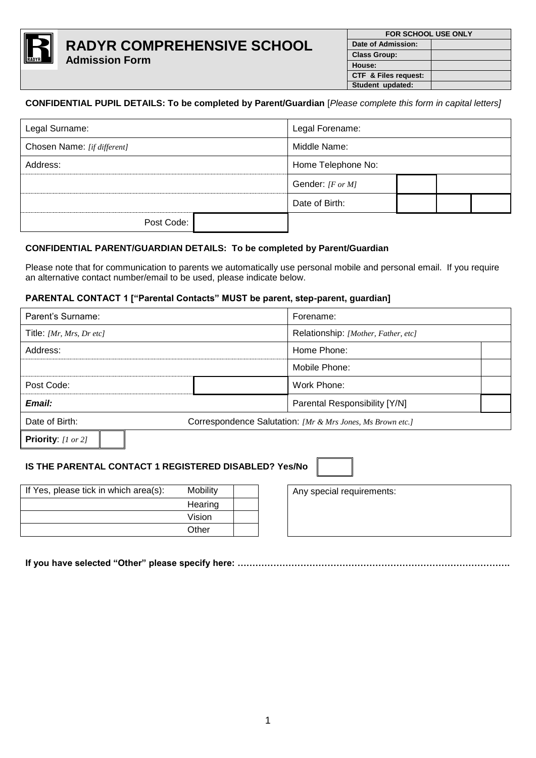

## **CONFIDENTIAL PUPIL DETAILS: To be completed by Parent/Guardian** [*Please complete this form in capital letters]*

| Legal Surname:              |  | Legal Forename:    |  |  |  |
|-----------------------------|--|--------------------|--|--|--|
| Chosen Name: [if different] |  | Middle Name:       |  |  |  |
| Address:                    |  | Home Telephone No: |  |  |  |
|                             |  | Gender: [F or M]   |  |  |  |
|                             |  | Date of Birth:     |  |  |  |
| Post Code:                  |  |                    |  |  |  |

## **CONFIDENTIAL PARENT/GUARDIAN DETAILS: To be completed by Parent/Guardian**

Please note that for communication to parents we automatically use personal mobile and personal email. If you require an alternative contact number/email to be used, please indicate below.

#### **PARENTAL CONTACT 1 ["Parental Contacts" MUST be parent, step-parent, guardian]**

| Parent's Surname:        |                                                            | Forename:                           |
|--------------------------|------------------------------------------------------------|-------------------------------------|
| Title: [Mr, Mrs, Dr etc] |                                                            | Relationship: [Mother, Father, etc] |
| Address:                 |                                                            | Home Phone:                         |
|                          |                                                            | Mobile Phone:                       |
| Post Code:               |                                                            | Work Phone:                         |
| Email:                   |                                                            | Parental Responsibility [Y/N]       |
| Date of Birth:           | Correspondence Salutation: [Mr & Mrs Jones, Ms Brown etc.] |                                     |
| Priority: [1 or 2]       |                                                            |                                     |

## **IS THE PARENTAL CONTACT 1 REGISTERED DISABLED? Yes/No**

| If Yes, please tick in which area(s): | <b>Mobility</b> |  |
|---------------------------------------|-----------------|--|
|                                       | Hearing         |  |
|                                       | Vision          |  |
|                                       | Other           |  |

Any special requirements:

**If you have selected "Other" please specify here: ……………………………………………………………………………….**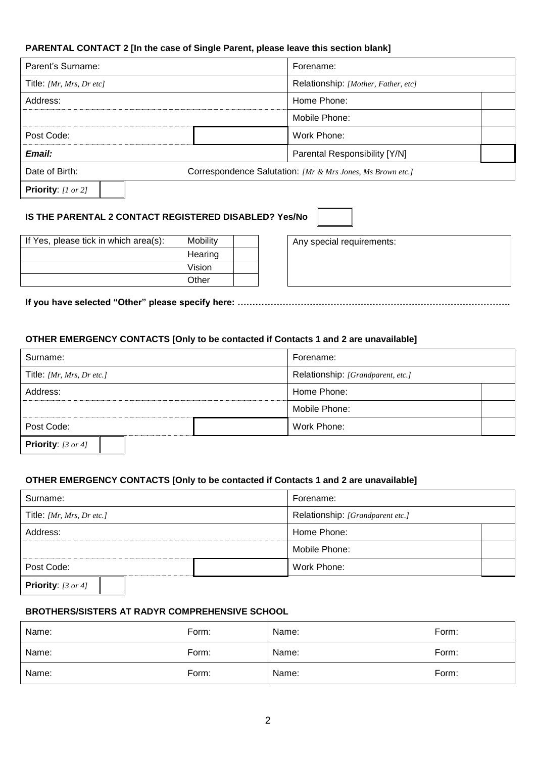## **PARENTAL CONTACT 2 [In the case of Single Parent, please leave this section blank]**

| Parent's Surname:        | Forename:                                                  |
|--------------------------|------------------------------------------------------------|
| Title: [Mr, Mrs, Dr etc] | Relationship: [Mother, Father, etc]                        |
| Address:                 | Home Phone:                                                |
|                          | Mobile Phone:                                              |
| Post Code:               | Work Phone:                                                |
| Email:                   | Parental Responsibility [Y/N]                              |
| Date of Birth:           | Correspondence Salutation: [Mr & Mrs Jones, Ms Brown etc.] |
| Priority: $[1 or 2]$     |                                                            |

# **IS THE PARENTAL 2 CONTACT REGISTERED DISABLED? Yes/No**

| If Yes, please tick in which area(s): | <b>Mobility</b> |  |
|---------------------------------------|-----------------|--|
|                                       | Hearing         |  |
|                                       | Vision          |  |
|                                       | Other           |  |

Any special requirements:

**If you have selected "Other" please specify here: ……………………………………………………………………………….**

#### **OTHER EMERGENCY CONTACTS [Only to be contacted if Contacts 1 and 2 are unavailable]**

| Surname:                             |  | Forename:                         |  |
|--------------------------------------|--|-----------------------------------|--|
| Title: [Mr, Mrs, Dr etc.]            |  | Relationship: [Grandparent, etc.] |  |
| Address:                             |  | Home Phone:                       |  |
|                                      |  | Mobile Phone:                     |  |
| Post Code:                           |  | Work Phone:                       |  |
| <b>Priority:</b> $[3 \text{ or } 4]$ |  |                                   |  |

#### **OTHER EMERGENCY CONTACTS [Only to be contacted if Contacts 1 and 2 are unavailable]**

| Surname:                             | Forename:                        |  |
|--------------------------------------|----------------------------------|--|
| Title: [Mr, Mrs, Dr etc.]            | Relationship: [Grandparent etc.] |  |
| Address:                             | Home Phone:                      |  |
|                                      | Mobile Phone:                    |  |
| Post Code:                           | Work Phone:                      |  |
| <b>Priority:</b> $[3 \text{ or } 4]$ |                                  |  |

## **BROTHERS/SISTERS AT RADYR COMPREHENSIVE SCHOOL**

| Name: | Form: | Name: | Form: |
|-------|-------|-------|-------|
| Name: | Form: | Name: | Form: |
| Name: | Form: | Name: | Form: |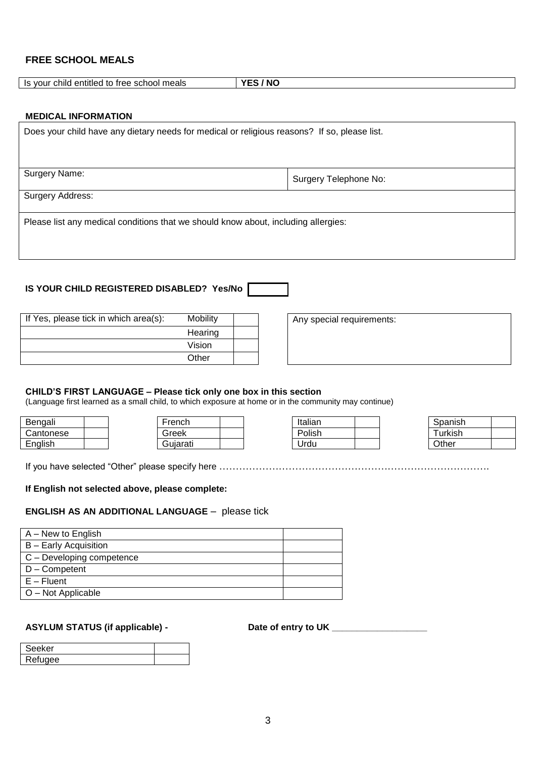# **FREE SCHOOL MEALS**

| meals<br>child<br>entitled<br>- - - - -<br>school :<br>. .<br>. vour<br>$\overline{c}$<br>ree<br>ТO<br>- 15 | - --- -<br>Nľ. |
|-------------------------------------------------------------------------------------------------------------|----------------|
|                                                                                                             |                |

#### **MEDICAL INFORMATION**

| Does your child have any dietary needs for medical or religious reasons? If so, please list. |                       |
|----------------------------------------------------------------------------------------------|-----------------------|
| Surgery Name:                                                                                | Surgery Telephone No: |
| Surgery Address:                                                                             |                       |
| Please list any medical conditions that we should know about, including allergies:           |                       |

## **IS YOUR CHILD REGISTERED DISABLED? Yes/No**

| If Yes, please tick in which area(s): | Mobility |  |
|---------------------------------------|----------|--|
|                                       | Hearing  |  |
|                                       | Vision   |  |
|                                       | Other    |  |

Any special requirements:

#### **CHILD'S FIRST LANGUAGE – Please tick only one box in this section**

(Language first learned as a small child, to which exposure at home or in the community may continue)

| Bengali            | French   |  | Italian |  | oanıshخ<br>JUđ. |
|--------------------|----------|--|---------|--|-----------------|
| <i>C</i> antonese  | Greek    |  | Polish  |  | urkish          |
| English<br>$\cdot$ | Guiarati |  | Urdu    |  | Other           |

| -rench   |  |
|----------|--|
| Greek    |  |
| Gujarati |  |

| Italian |  |
|---------|--|
| Polish  |  |
| Urdu    |  |

| Spanish |  |
|---------|--|
| Turkish |  |
| Other   |  |

If you have selected "Other" please specify here ……………………………………………………………………….

#### **If English not selected above, please complete:**

#### **ENGLISH AS AN ADDITIONAL LANGUAGE** – please tick

| A – New to English           |  |
|------------------------------|--|
| <b>B</b> – Early Acquisition |  |
| C - Developing competence    |  |
| D - Competent                |  |
| $E -$ Fluent                 |  |
| O - Not Applicable           |  |

# **ASYLUM STATUS (if applicable) -**

| Date of entry to UK |  |
|---------------------|--|
|                     |  |

| Seeker       |  |
|--------------|--|
| ۱۱۸۵۵<br>⊸ ≏ |  |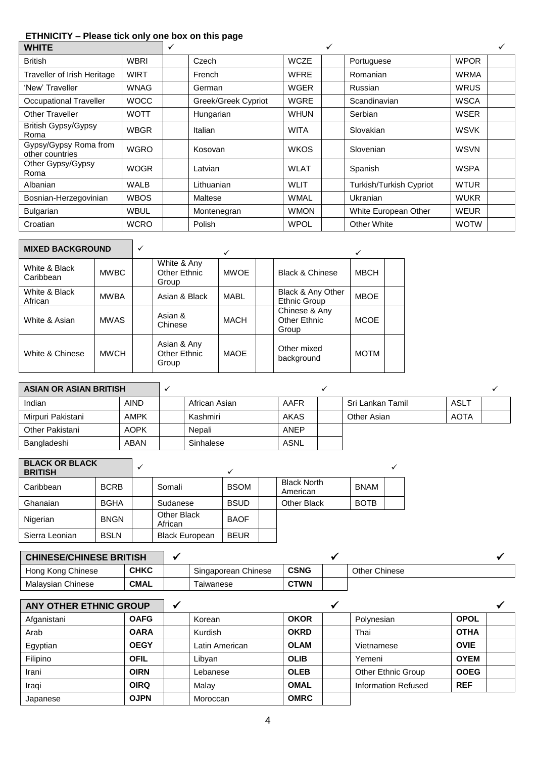# **ETHNICITY – Please tick only one box on this page**

| <b>WHITE</b>                             |             | ✓ |                     |             |                                |             |  |
|------------------------------------------|-------------|---|---------------------|-------------|--------------------------------|-------------|--|
| <b>British</b>                           | <b>WBRI</b> |   | Czech               | <b>WCZE</b> | Portuguese                     | <b>WPOR</b> |  |
| Traveller of Irish Heritage              | WIRT        |   | French              | <b>WFRE</b> | Romanian                       | <b>WRMA</b> |  |
| 'New' Traveller                          | WNAG        |   | German              | <b>WGER</b> | Russian                        | <b>WRUS</b> |  |
| <b>Occupational Traveller</b>            | <b>WOCC</b> |   | Greek/Greek Cypriot | <b>WGRE</b> | Scandinavian                   | <b>WSCA</b> |  |
| <b>Other Traveller</b>                   | <b>WOTT</b> |   | Hungarian           | <b>WHUN</b> | Serbian                        | <b>WSER</b> |  |
| <b>British Gypsy/Gypsy</b><br>Roma       | WBGR        |   | Italian             | <b>WITA</b> | Slovakian                      | <b>WSVK</b> |  |
| Gypsy/Gypsy Roma from<br>other countries | <b>WGRO</b> |   | Kosovan             | <b>WKOS</b> | Slovenian                      | <b>WSVN</b> |  |
| Other Gypsy/Gypsy<br>Roma                | WOGR        |   | Latvian             | <b>WLAT</b> | Spanish                        | <b>WSPA</b> |  |
| Albanian                                 | <b>WALB</b> |   | Lithuanian          | <b>WLIT</b> | <b>Turkish/Turkish Cypriot</b> | <b>WTUR</b> |  |
| Bosnian-Herzegovinian                    | <b>WBOS</b> |   | Maltese             | <b>WMAL</b> | Ukranian                       | <b>WUKR</b> |  |
| Bulgarian                                | WBUL        |   | Montenegran         | <b>WMON</b> | White European Other           | <b>WEUR</b> |  |
| Croatian                                 | <b>WCRO</b> |   | Polish              | <b>WPOL</b> | <b>Other White</b>             | <b>WOTW</b> |  |

| <b>MIXED BACKGROUND</b>    |             |                                      | ✓           |                                        |             |  |
|----------------------------|-------------|--------------------------------------|-------------|----------------------------------------|-------------|--|
| White & Black<br>Caribbean | <b>MWBC</b> | White & Any<br>Other Ethnic<br>Group | <b>MWOE</b> | <b>Black &amp; Chinese</b>             | <b>MBCH</b> |  |
| White & Black<br>African   | <b>MWBA</b> | Asian & Black                        | <b>MABL</b> | Black & Any Other<br>Ethnic Group      | <b>MBOE</b> |  |
| White & Asian              | <b>MWAS</b> | Asian &<br>Chinese                   | MACH        | Chinese & Any<br>Other Ethnic<br>Group | <b>MCOE</b> |  |
| White & Chinese            | <b>MWCH</b> | Asian & Any<br>Other Ethnic<br>Group | MAOE        | Other mixed<br>background              | <b>MOTM</b> |  |

| <b>ASIAN OR ASIAN BRITISH</b> |             |               |             |  |                  |             |  |
|-------------------------------|-------------|---------------|-------------|--|------------------|-------------|--|
| Indian                        | <b>AIND</b> | African Asian | AAFR        |  | Sri Lankan Tamil | ASLT        |  |
| Mirpuri Pakistani             | AMPK        | Kashmiri      | <b>AKAS</b> |  | Other Asian      | <b>AOTA</b> |  |
| Other Pakistani               | <b>AOPK</b> | Nepali        | <b>ANEP</b> |  |                  |             |  |
| Bangladeshi                   | ABAN        | Sinhalese     | ASNL        |  |                  |             |  |

| <b>BLACK OR BLACK</b><br><b>BRITISH</b> |             |                        |             |                                |             |  |
|-----------------------------------------|-------------|------------------------|-------------|--------------------------------|-------------|--|
| Caribbean                               | <b>BCRB</b> | Somali                 | <b>BSOM</b> | <b>Black North</b><br>American | <b>BNAM</b> |  |
| Ghanaian                                | <b>BGHA</b> | Sudanese               | <b>BSUD</b> | Other Black                    | <b>BOTB</b> |  |
| Nigerian                                | <b>BNGN</b> | Other Black<br>African | <b>BAOF</b> |                                |             |  |
| Sierra Leonian                          | <b>BSLN</b> | <b>Black European</b>  | <b>BEUR</b> |                                |             |  |

| <b>CHINESE/CHINESE BRITISH</b> |             |                     |             |  |               |  |
|--------------------------------|-------------|---------------------|-------------|--|---------------|--|
| Hong Kong Chinese              | <b>CHKC</b> | Singaporean Chinese | <b>CSNG</b> |  | Other Chinese |  |
| Malavsian Chinese              | <b>CMAL</b> | Taiwanese           | <b>CTWN</b> |  |               |  |

| <b>ANY OTHER ETHNIC GROUP</b> |             |                |             |                            |             |  |
|-------------------------------|-------------|----------------|-------------|----------------------------|-------------|--|
| Afganistani                   | <b>OAFG</b> | Korean         | <b>OKOR</b> | Polynesian                 | <b>OPOL</b> |  |
| Arab                          | <b>OARA</b> | Kurdish        | <b>OKRD</b> | Thai                       | <b>OTHA</b> |  |
| Egyptian                      | <b>OEGY</b> | Latin American | <b>OLAM</b> | Vietnamese                 | <b>OVIE</b> |  |
| Filipino                      | <b>OFIL</b> | Libvan         | <b>OLIB</b> | Yemeni                     | <b>OYEM</b> |  |
| Irani                         | <b>OIRN</b> | Lebanese       | <b>OLEB</b> | <b>Other Ethnic Group</b>  | <b>OOEG</b> |  |
| Iraqi                         | <b>OIRQ</b> | Malay          | <b>OMAL</b> | <b>Information Refused</b> | <b>REF</b>  |  |
| Japanese                      | <b>OJPN</b> | Moroccan       | <b>OMRC</b> |                            |             |  |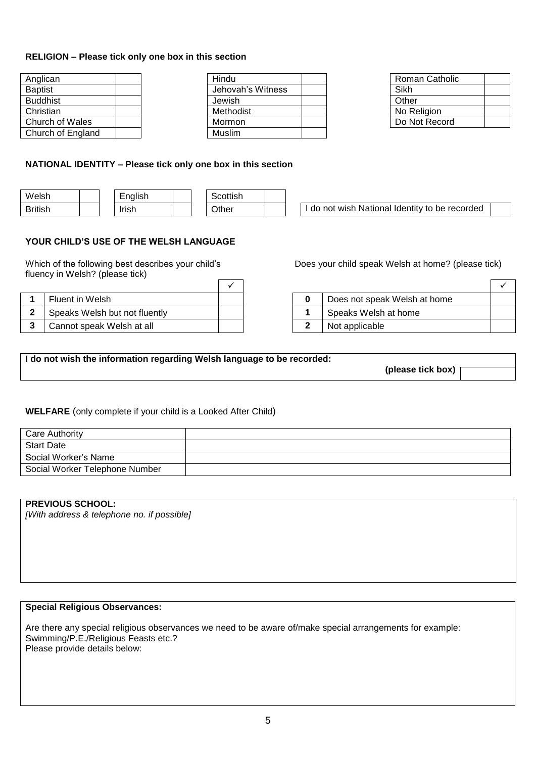### **RELIGION – Please tick only one box in this section**

| Anglican          |  | Hindu  |
|-------------------|--|--------|
| <b>Baptist</b>    |  | Jehova |
| <b>Buddhist</b>   |  | Jewish |
| Christian         |  | Method |
| Church of Wales   |  | Mormo  |
| Church of England |  | Muslim |

| Hindu             |  | <b>Roman Catholic</b> |
|-------------------|--|-----------------------|
| Jehovah's Witness |  | Sikh                  |
| Jewish            |  | Other                 |
| Methodist         |  | No Religion           |
| Mormon            |  | Do Not Record         |
| Muslim            |  |                       |
|                   |  |                       |

| Roman Catholic |  |
|----------------|--|
| Sikh           |  |
| Other          |  |
| No Religion    |  |
| Do Not Record  |  |

## **NATIONAL IDENTITY – Please tick only one box in this section**

| Welsh          | English             | Scottish |                                                         |  |
|----------------|---------------------|----------|---------------------------------------------------------|--|
| <b>British</b> | . .<br><b>Irish</b> | Other    | National<br>l Identity to be recorded<br>wish<br>do not |  |

## **YOUR CHILD'S USE OF THE WELSH LANGUAGE**

Which of the following best describes your child's fluency in Welsh? (please tick) Г

| Fluent in Welsh               |  | Does not speak Welsh at home |
|-------------------------------|--|------------------------------|
| Speaks Welsh but not fluently |  | Speaks Welsh at home         |
| Cannot speak Welsh at all     |  | Not applicable               |

| Does your child speak Welsh at home? (please tick) |  |  |
|----------------------------------------------------|--|--|
|                                                    |  |  |

|  | Does not speak Welsh at home |  |
|--|------------------------------|--|
|  | Speaks Welsh at home         |  |
|  | Not applicable               |  |

**I do not wish the information regarding Welsh language to be recorded:** 

**(please tick box)**

**WELFARE** (only complete if your child is a Looked After Child)

| Care Authority                 |  |
|--------------------------------|--|
| <b>Start Date</b>              |  |
| Social Worker's Name           |  |
| Social Worker Telephone Number |  |

#### **PREVIOUS SCHOOL:**

*[With address & telephone no. if possible]*

#### **Special Religious Observances:**

Are there any special religious observances we need to be aware of/make special arrangements for example: Swimming/P.E./Religious Feasts etc.? Please provide details below: